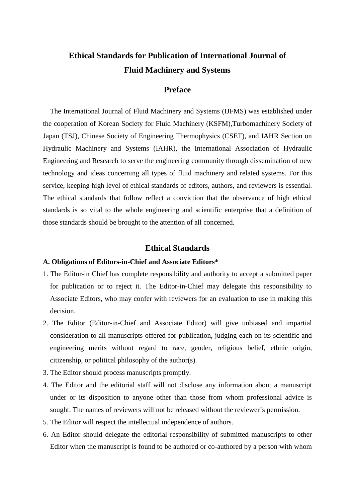# **Ethical Standards for Publication of International Journal of Fluid Machinery and Systems**

## **Preface**

The International Journal of Fluid Machinery and Systems (IJFMS) was established under the cooperation of Korean Society for Fluid Machinery (KSFM),Turbomachinery Society of Japan (TSJ), Chinese Society of Engineering Thermophysics (CSET), and IAHR Section on Hydraulic Machinery and Systems (IAHR), the International Association of Hydraulic Engineering and Research to serve the engineering community through dissemination of new technology and ideas concerning all types of fluid machinery and related systems. For this service, keeping high level of ethical standards of editors, authors, and reviewers is essential. The ethical standards that follow reflect a conviction that the observance of high ethical standards is so vital to the whole engineering and scientific enterprise that a definition of those standards should be brought to the attention of all concerned.

### **Ethical Standards**

#### **A. Obligations of Editors-in-Chief and Associate Editors\***

- 1. The Editor-in Chief has complete responsibility and authority to accept a submitted paper for publication or to reject it. The Editor-in-Chief may delegate this responsibility to Associate Editors, who may confer with reviewers for an evaluation to use in making this decision.
- 2. The Editor (Editor-in-Chief and Associate Editor) will give unbiased and impartial consideration to all manuscripts offered for publication, judging each on its scientific and engineering merits without regard to race, gender, religious belief, ethnic origin, citizenship, or political philosophy of the author(s).
- 3. The Editor should process manuscripts promptly.
- 4. The Editor and the editorial staff will not disclose any information about a manuscript under or its disposition to anyone other than those from whom professional advice is sought. The names of reviewers will not be released without the reviewer's permission.
- 5. The Editor will respect the intellectual independence of authors.
- 6. An Editor should delegate the editorial responsibility of submitted manuscripts to other Editor when the manuscript is found to be authored or co-authored by a person with whom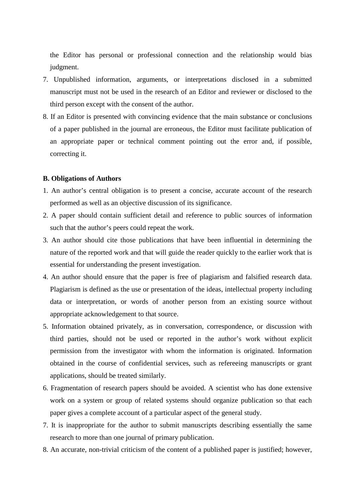the Editor has personal or professional connection and the relationship would bias judgment.

- 7. Unpublished information, arguments, or interpretations disclosed in a submitted manuscript must not be used in the research of an Editor and reviewer or disclosed to the third person except with the consent of the author.
- 8. If an Editor is presented with convincing evidence that the main substance or conclusions of a paper published in the journal are erroneous, the Editor must facilitate publication of an appropriate paper or technical comment pointing out the error and, if possible, correcting it.

#### **B. Obligations of Authors**

- 1. An author's central obligation is to present a concise, accurate account of the research performed as well as an objective discussion of its significance.
- 2. A paper should contain sufficient detail and reference to public sources of information such that the author's peers could repeat the work.
- 3. An author should cite those publications that have been influential in determining the nature of the reported work and that will guide the reader quickly to the earlier work that is essential for understanding the present investigation.
- 4. An author should ensure that the paper is free of plagiarism and falsified research data. Plagiarism is defined as the use or presentation of the ideas, intellectual property including data or interpretation, or words of another person from an existing source without appropriate acknowledgement to that source.
- 5. Information obtained privately, as in conversation, correspondence, or discussion with third parties, should not be used or reported in the author's work without explicit permission from the investigator with whom the information is originated. Information obtained in the course of confidential services, such as refereeing manuscripts or grant applications, should be treated similarly.
- 6. Fragmentation of research papers should be avoided. A scientist who has done extensive work on a system or group of related systems should organize publication so that each paper gives a complete account of a particular aspect of the general study.
- 7. It is inappropriate for the author to submit manuscripts describing essentially the same research to more than one journal of primary publication.
- 8. An accurate, non-trivial criticism of the content of a published paper is justified; however,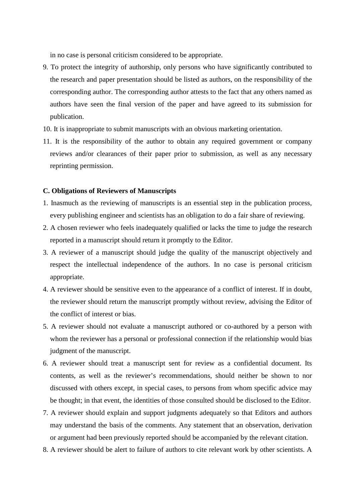in no case is personal criticism considered to be appropriate.

- 9. To protect the integrity of authorship, only persons who have significantly contributed to the research and paper presentation should be listed as authors, on the responsibility of the corresponding author. The corresponding author attests to the fact that any others named as authors have seen the final version of the paper and have agreed to its submission for publication.
- 10. It is inappropriate to submit manuscripts with an obvious marketing orientation.
- 11. It is the responsibility of the author to obtain any required government or company reviews and/or clearances of their paper prior to submission, as well as any necessary reprinting permission.

#### **C. Obligations of Reviewers of Manuscripts**

- 1. Inasmuch as the reviewing of manuscripts is an essential step in the publication process, every publishing engineer and scientists has an obligation to do a fair share of reviewing.
- 2. A chosen reviewer who feels inadequately qualified or lacks the time to judge the research reported in a manuscript should return it promptly to the Editor.
- 3. A reviewer of a manuscript should judge the quality of the manuscript objectively and respect the intellectual independence of the authors. In no case is personal criticism appropriate.
- 4. A reviewer should be sensitive even to the appearance of a conflict of interest. If in doubt, the reviewer should return the manuscript promptly without review, advising the Editor of the conflict of interest or bias.
- 5. A reviewer should not evaluate a manuscript authored or co-authored by a person with whom the reviewer has a personal or professional connection if the relationship would bias judgment of the manuscript.
- 6. A reviewer should treat a manuscript sent for review as a confidential document. Its contents, as well as the reviewer's recommendations, should neither be shown to nor discussed with others except, in special cases, to persons from whom specific advice may be thought; in that event, the identities of those consulted should be disclosed to the Editor.
- 7. A reviewer should explain and support judgments adequately so that Editors and authors may understand the basis of the comments. Any statement that an observation, derivation or argument had been previously reported should be accompanied by the relevant citation.
- 8. A reviewer should be alert to failure of authors to cite relevant work by other scientists. A